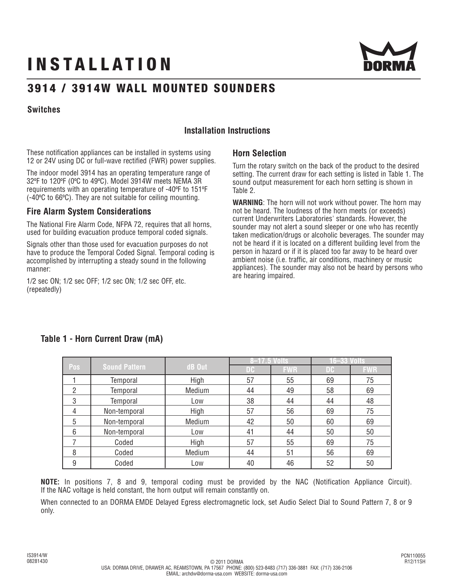# **INSTALLATION**



## **3914 / 3914W WALL MOUNTED SOUNDERS**

### **Switches**

## **Installation Instructions**

These notification appliances can be installed in systems using 12 or 24V using DC or full-wave rectified (FWR) power supplies.

The indoor model 3914 has an operating temperature range of 32ºF to 120ºF (0ºC to 49ºC). Model 3914W meets NEMA 3R requirements with an operating temperature of -40ºF to 151ºF (-40ºC to 66ºC). They are not suitable for ceiling mounting.

## **Fire Alarm System Considerations**

The National Fire Alarm Code, NFPA 72, requires that all horns, used for building evacuation produce temporal coded signals.

Signals other than those used for evacuation purposes do not have to produce the Temporal Coded Signal. Temporal coding is accomplished by interrupting a steady sound in the following manner:

1/2 sec ON; 1/2 sec OFF; 1/2 sec ON; 1/2 sec OFF, etc. (repeatedly)

## **Horn Selection**

Turn the rotary switch on the back of the product to the desired setting. The current draw for each setting is listed in Table 1. The sound output measurement for each horn setting is shown in Table 2.

**WARNING**: The horn will not work without power. The horn may not be heard. The loudness of the horn meets (or exceeds) current Underwriters Laboratories' standards. However, the sounder may not alert a sound sleeper or one who has recently taken medication/drugs or alcoholic beverages. The sounder may not be heard if it is located on a different building level from the person in hazard or if it is placed too far away to be heard over ambient noise (i.e. traffic, air conditions, machinery or music appliances). The sounder may also not be heard by persons who are hearing impaired.

|     |                      |        | 8-17.5 Volts |            | 16–33 Volts |            |
|-----|----------------------|--------|--------------|------------|-------------|------------|
| Pos | <b>Sound Pattern</b> | dB Out | DC           | <b>FWR</b> | DC          | <b>FWR</b> |
|     | Temporal             | High   | 57           | 55         | 69          | 75         |
| 2   | Temporal             | Medium | 44           | 49         | 58          | 69         |
| 3   | Temporal             | Low    | 38           | 44         | 44          | 48         |
| 4   | Non-temporal         | High   | 57           | 56         | 69          | 75         |
| 5   | Non-temporal         | Medium | 42           | 50         | 60          | 69         |
| 6   | Non-temporal         | Low    | 41           | 44         | 50          | 50         |
|     | Coded                | High   | 57           | 55         | 69          | 75         |
| 8   | Coded                | Medium | 44           | 51         | 56          | 69         |
| 9   | Coded                | Low    | 40           | 46         | 52          | 50         |

## **Table 1 - Horn Current Draw (mA)**

**NOTE:** In positions 7, 8 and 9, temporal coding must be provided by the NAC (Notification Appliance Circuit). If the NAC voltage is held constant, the horn output will remain constantly on.

When connected to an DORMA EMDE Delayed Egress electromagnetic lock, set Audio Select Dial to Sound Pattern 7, 8 or 9 only.